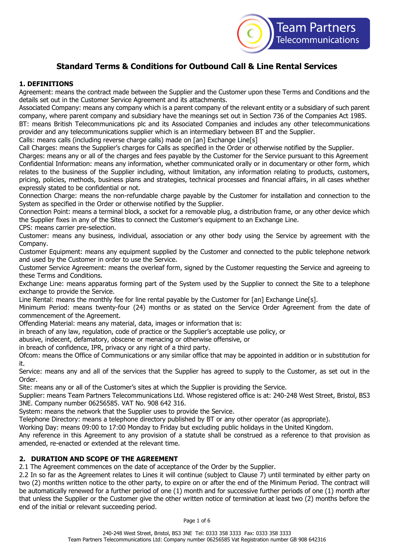

# **Standard Terms & Conditions for Outbound Call & Line Rental Services**

# **1. DEFINITIONS**

Agreement: means the contract made between the Supplier and the Customer upon these Terms and Conditions and the details set out in the Customer Service Agreement and its attachments.

Associated Company: means any company which is a parent company of the relevant entity or a subsidiary of such parent company, where parent company and subsidiary have the meanings set out in Section 736 of the Companies Act 1985. BT: means British Telecommunications plc and its Associated Companies and includes any other telecommunications provider and any telecommunications supplier which is an intermediary between BT and the Supplier.

Calls: means calls (including reverse charge calls) made on [an] Exchange Line[s]

Call Charges: means the Supplier's charges for Calls as specified in the Order or otherwise notified by the Supplier.

Charges: means any or all of the charges and fees payable by the Customer for the Service pursuant to this Agreement Confidential Information: means any information, whether communicated orally or in documentary or other form, which relates to the business of the Supplier including, without limitation, any information relating to products, customers, pricing, policies, methods, business plans and strategies, technical processes and financial affairs, in all cases whether expressly stated to be confidential or not.

Connection Charge: means the non-refundable charge payable by the Customer for installation and connection to the System as specified in the Order or otherwise notified by the Supplier.

Connection Point: means a terminal block, a socket for a removable plug, a distribution frame, or any other device which the Supplier fixes in any of the Sites to connect the Customer's equipment to an Exchange Line.

CPS: means carrier pre-selection.

Customer: means any business, individual, association or any other body using the Service by agreement with the Company.

Customer Equipment: means any equipment supplied by the Customer and connected to the public telephone network and used by the Customer in order to use the Service.

Customer Service Agreement: means the overleaf form, signed by the Customer requesting the Service and agreeing to these Terms and Conditions.

Exchange Line: means apparatus forming part of the System used by the Supplier to connect the Site to a telephone exchange to provide the Service.

Line Rental: means the monthly fee for line rental payable by the Customer for [an] Exchange Line[s].

Minimum Period: means twenty-four (24) months or as stated on the Service Order Agreement from the date of commencement of the Agreement.

Offending Material: means any material, data, images or information that is:

in breach of any law, regulation, code of practice or the Supplier's acceptable use policy, or

abusive, indecent, defamatory, obscene or menacing or otherwise offensive, or

in breach of confidence, IPR, privacy or any right of a third party.

Ofcom: means the Office of Communications or any similar office that may be appointed in addition or in substitution for it.

Service: means any and all of the services that the Supplier has agreed to supply to the Customer, as set out in the Order.

Site: means any or all of the Customer's sites at which the Supplier is providing the Service.

Supplier: means Team Partners Telecommunications Ltd. Whose registered office is at: 240-248 West Street, Bristol, BS3 3NE. Company number 06256585. VAT No. 908 642 316.

System: means the network that the Supplier uses to provide the Service.

Telephone Directory: means a telephone directory published by BT or any other operator (as appropriate).

Working Day: means 09:00 to 17:00 Monday to Friday but excluding public holidays in the United Kingdom.

Any reference in this Agreement to any provision of a statute shall be construed as a reference to that provision as amended, re-enacted or extended at the relevant time.

# **2. DURATION AND SCOPE OF THE AGREEMENT**

2.1 The Agreement commences on the date of acceptance of the Order by the Supplier.

2.2 In so far as the Agreement relates to Lines it will continue (subject to Clause 7) until terminated by either party on two (2) months written notice to the other party, to expire on or after the end of the Minimum Period. The contract will be automatically renewed for a further period of one (1) month and for successive further periods of one (1) month after that unless the Supplier or the Customer give the other written notice of termination at least two (2) months before the end of the initial or relevant succeeding period.

Page 1 of 6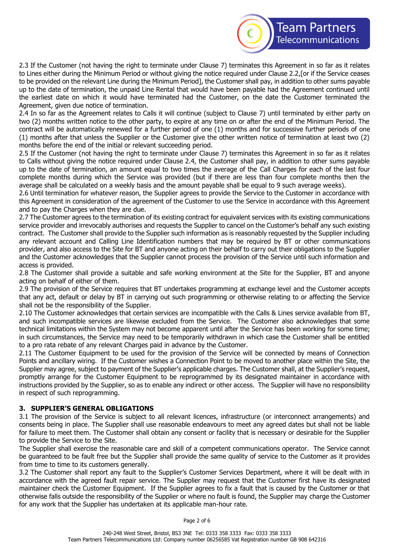

2.3 If the Customer (not having the right to terminate under Clause 7) terminates this Agreement in so far as it relates to Lines either during the Minimum Period or without giving the notice required under Clause 2.2,[or if the Service ceases to be provided on the relevant Line during the Minimum Period], the Customer shall pay, in addition to other sums payable up to the date of termination, the unpaid Line Rental that would have been payable had the Agreement continued until the earliest date on which it would have terminated had the Customer, on the date the Customer terminated the Agreement, given due notice of termination.

2.4 In so far as the Agreement relates to Calls it will continue (subject to Clause 7) until terminated by either party on two (2) months written notice to the other party, to expire at any time on or after the end of the Minimum Period. The contract will be automatically renewed for a further period of one (1) months and for successive further periods of one (1) months after that unless the Supplier or the Customer give the other written notice of termination at least two (2) months before the end of the initial or relevant succeeding period.

2.5 If the Customer (not having the right to terminate under Clause 7) terminates this Agreement in so far as it relates to Calls without giving the notice required under Clause 2.4, the Customer shall pay, in addition to other sums payable up to the date of termination, an amount equal to two times the average of the Call Charges for each of the last four complete months during which the Service was provided (but if there are less than four complete months then the average shall be calculated on a weekly basis and the amount payable shall be equal to 9 such average weeks).

2.6 Until termination for whatever reason, the Supplier agrees to provide the Service to the Customer in accordance with this Agreement in consideration of the agreement of the Customer to use the Service in accordance with this Agreement and to pay the Charges when they are due.

2.7 The Customer agrees to the termination of its existing contract for equivalent services with its existing communications service provider and irrevocably authorises and requests the Supplier to cancel on the Customer's behalf any such existing contract. The Customer shall provide to the Supplier such information as is reasonably requested by the Supplier including any relevant account and Calling Line Identification numbers that may be required by BT or other communications provider, and also access to the Site for BT and anyone acting on their behalf to carry out their obligations to the Supplier and the Customer acknowledges that the Supplier cannot process the provision of the Service until such information and access is provided.

2.8 The Customer shall provide a suitable and safe working environment at the Site for the Supplier, BT and anyone acting on behalf of either of them.

2.9 The provision of the Service requires that BT undertakes programming at exchange level and the Customer accepts that any act, default or delay by BT in carrying out such programming or otherwise relating to or affecting the Service shall not be the responsibility of the Supplier.

2.10 The Customer acknowledges that certain services are incompatible with the Calls & Lines service available from BT, and such incompatible services are likewise excluded from the Service. The Customer also acknowledges that some technical limitations within the System may not become apparent until after the Service has been working for some time; in such circumstances, the Service may need to be temporarily withdrawn in which case the Customer shall be entitled to a pro rata rebate of any relevant Charges paid in advance by the Customer.

2.11 The Customer Equipment to be used for the provision of the Service will be connected by means of Connection Points and ancillary wiring. If the Customer wishes a Connection Point to be moved to another place within the Site, the Supplier may agree, subject to payment of the Supplier's applicable charges. The Customer shall, at the Supplier's request, promptly arrange for the Customer Equipment to be reprogrammed by its designated maintainer in accordance with instructions provided by the Supplier, so as to enable any indirect or other access. The Supplier will have no responsibility in respect of such reprogramming.

### **3. SUPPLIER'S GENERAL OBLIGATIONS**

3.1 The provision of the Service is subject to all relevant licences, infrastructure (or interconnect arrangements) and consents being in place. The Supplier shall use reasonable endeavours to meet any agreed dates but shall not be liable for failure to meet them. The Customer shall obtain any consent or facility that is necessary or desirable for the Supplier to provide the Service to the Site.

The Supplier shall exercise the reasonable care and skill of a competent communications operator. The Service cannot be guaranteed to be fault free but the Supplier shall provide the same quality of service to the Customer as it provides from time to time to its customers generally.

3.2 The Customer shall report any fault to the Supplier's Customer Services Department, where it will be dealt with in accordance with the agreed fault repair service. The Supplier may request that the Customer first have its designated maintainer check the Customer Equipment. If the Supplier agrees to fix a fault that is caused by the Customer or that otherwise falls outside the responsibility of the Supplier or where no fault is found, the Supplier may charge the Customer for any work that the Supplier has undertaken at its applicable man-hour rate.

Page 2 of 6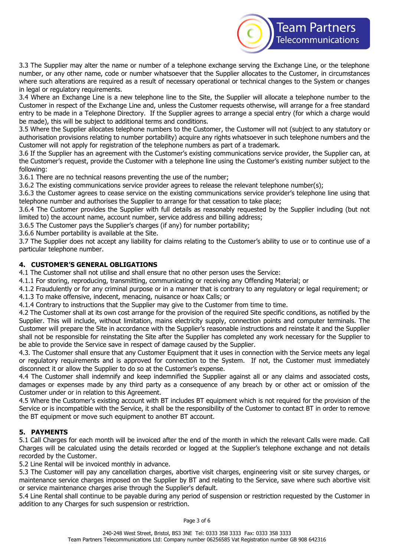

3.3 The Supplier may alter the name or number of a telephone exchange serving the Exchange Line, or the telephone number, or any other name, code or number whatsoever that the Supplier allocates to the Customer, in circumstances where such alterations are required as a result of necessary operational or technical changes to the System or changes in legal or regulatory requirements.

3.4 Where an Exchange Line is a new telephone line to the Site, the Supplier will allocate a telephone number to the Customer in respect of the Exchange Line and, unless the Customer requests otherwise, will arrange for a free standard entry to be made in a Telephone Directory. If the Supplier agrees to arrange a special entry (for which a charge would be made), this will be subject to additional terms and conditions.

3.5 Where the Supplier allocates telephone numbers to the Customer, the Customer will not (subject to any statutory or authorisation provisions relating to number portability) acquire any rights whatsoever in such telephone numbers and the Customer will not apply for registration of the telephone numbers as part of a trademark.

3.6 If the Supplier has an agreement with the Customer's existing communications service provider, the Supplier can, at the Customer's request, provide the Customer with a telephone line using the Customer's existing number subject to the following:

3.6.1 There are no technical reasons preventing the use of the number;

3.6.2 The existing communications service provider agrees to release the relevant telephone number(s);

3.6.3 the Customer agrees to cease service on the existing communications service provider's telephone line using that telephone number and authorises the Supplier to arrange for that cessation to take place;

3.6.4 The Customer provides the Supplier with full details as reasonably requested by the Supplier including (but not limited to) the account name, account number, service address and billing address;

3.6.5 The Customer pays the Supplier's charges (if any) for number portability;

3.6.6 Number portability is available at the Site.

3.7 The Supplier does not accept any liability for claims relating to the Customer's ability to use or to continue use of a particular telephone number.

# **4. CUSTOMER'S GENERAL OBLIGATIONS**

4.1 The Customer shall not utilise and shall ensure that no other person uses the Service:

4.1.1 For storing, reproducing, transmitting, communicating or receiving any Offending Material; or

4.1.2 Fraudulently or for any criminal purpose or in a manner that is contrary to any regulatory or legal requirement; or

4.1.3 To make offensive, indecent, menacing, nuisance or hoax Calls; or

4.1.4 Contrary to instructions that the Supplier may give to the Customer from time to time.

4.2 The Customer shall at its own cost arrange for the provision of the required Site specific conditions, as notified by the Supplier. This will include, without limitation, mains electricity supply, connection points and computer terminals. The Customer will prepare the Site in accordance with the Supplier's reasonable instructions and reinstate it and the Supplier shall not be responsible for reinstating the Site after the Supplier has completed any work necessary for the Supplier to be able to provide the Service save in respect of damage caused by the Supplier.

4.3. The Customer shall ensure that any Customer Equipment that it uses in connection with the Service meets any legal or regulatory requirements and is approved for connection to the System. If not, the Customer must immediately disconnect it or allow the Supplier to do so at the Customer's expense.

4.4 The Customer shall indemnify and keep indemnified the Supplier against all or any claims and associated costs, damages or expenses made by any third party as a consequence of any breach by or other act or omission of the Customer under or in relation to this Agreement.

4.5 Where the Customer's existing account with BT includes BT equipment which is not required for the provision of the Service or is incompatible with the Service, it shall be the responsibility of the Customer to contact BT in order to remove the BT equipment or move such equipment to another BT account.

### **5. PAYMENTS**

5.1 Call Charges for each month will be invoiced after the end of the month in which the relevant Calls were made. Call Charges will be calculated using the details recorded or logged at the Supplier's telephone exchange and not details recorded by the Customer.

5.2 Line Rental will be invoiced monthly in advance.

5.3 The Customer will pay any cancellation charges, abortive visit charges, engineering visit or site survey charges, or maintenance service charges imposed on the Supplier by BT and relating to the Service, save where such abortive visit or service maintenance charges arise through the Supplier's default.

5.4 Line Rental shall continue to be payable during any period of suspension or restriction requested by the Customer in addition to any Charges for such suspension or restriction.

Page 3 of 6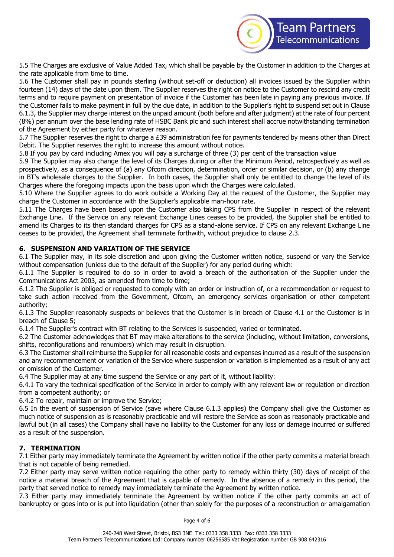

5.5 The Charges are exclusive of Value Added Tax, which shall be payable by the Customer in addition to the Charges at the rate applicable from time to time.

5.6 The Customer shall pay in pounds sterling (without set-off or deduction) all invoices issued by the Supplier within fourteen (14) days of the date upon them. The Supplier reserves the right on notice to the Customer to rescind any credit terms and to require payment on presentation of invoice if the Customer has been late in paying any previous invoice. If the Customer fails to make payment in full by the due date, in addition to the Supplier's right to suspend set out in Clause 6.1.3, the Supplier may charge interest on the unpaid amount (both before and after judgment) at the rate of four percent (8%) per annum over the base lending rate of HSBC Bank plc and such interest shall accrue notwithstanding termination of the Agreement by either party for whatever reason.

5.7 The Supplier reserves the right to charge a £39 administration fee for payments tendered by means other than Direct Debit. The Supplier reserves the right to increase this amount without notice.

5.8 If you pay by card including Amex you will pay a surcharge of three (3) per cent of the transaction value

5.9 The Supplier may also change the level of its Charges during or after the Minimum Period, retrospectively as well as prospectively, as a consequence of (a) any Ofcom direction, determination, order or similar decision, or (b) any change in BT's wholesale charges to the Supplier. In both cases, the Supplier shall only be entitled to change the level of its Charges where the foregoing impacts upon the basis upon which the Charges were calculated.

5.10 Where the Supplier agrees to do work outside a Working Day at the request of the Customer, the Supplier may charge the Customer in accordance with the Supplier's applicable man-hour rate.

5.11 The Charges have been based upon the Customer also taking CPS from the Supplier in respect of the relevant Exchange Line. If the Service on any relevant Exchange Lines ceases to be provided, the Supplier shall be entitled to amend its Charges to its then standard charges for CPS as a stand-alone service. If CPS on any relevant Exchange Line ceases to be provided, the Agreement shall terminate forthwith, without prejudice to clause 2.3.

# **6. SUSPENSION AND VARIATION OF THE SERVICE**

6.1 The Supplier may, in its sole discretion and upon giving the Customer written notice, suspend or vary the Service without compensation (unless due to the default of the Supplier) for any period during which:

6.1.1 The Supplier is required to do so in order to avoid a breach of the authorisation of the Supplier under the Communications Act 2003, as amended from time to time;

6.1.2 The Supplier is obliged or requested to comply with an order or instruction of, or a recommendation or request to take such action received from the Government, Ofcom, an emergency services organisation or other competent authority;

6.1.3 The Supplier reasonably suspects or believes that the Customer is in breach of Clause 4.1 or the Customer is in breach of Clause 5;

6.1.4 The Supplier's contract with BT relating to the Services is suspended, varied or terminated.

6.2 The Customer acknowledges that BT may make alterations to the service (including, without limitation, conversions, shifts, reconfigurations and renumbers) which may result in disruption.

6.3 The Customer shall reimburse the Supplier for all reasonable costs and expenses incurred as a result of the suspension and any recommencement or variation of the Service where suspension or variation is implemented as a result of any act or omission of the Customer.

6.4 The Supplier may at any time suspend the Service or any part of it, without liability:

6.4.1 To vary the technical specification of the Service in order to comply with any relevant law or regulation or direction from a competent authority; or

6.4.2 To repair, maintain or improve the Service;

6.5 In the event of suspension of Service (save where Clause 6.1.3 applies) the Company shall give the Customer as much notice of suspension as is reasonably practicable and will restore the Service as soon as reasonably practicable and lawful but (in all cases) the Company shall have no liability to the Customer for any loss or damage incurred or suffered as a result of the suspension.

# **7. TERMINATION**

7.1 Either party may immediately terminate the Agreement by written notice if the other party commits a material breach that is not capable of being remedied.

7.2 Either party may serve written notice requiring the other party to remedy within thirty (30) days of receipt of the notice a material breach of the Agreement that is capable of remedy. In the absence of a remedy in this period, the party that served notice to remedy may immediately terminate the Agreement by written notice.

7.3 Either party may immediately terminate the Agreement by written notice if the other party commits an act of bankruptcy or goes into or is put into liquidation (other than solely for the purposes of a reconstruction or amalgamation

Page 4 of 6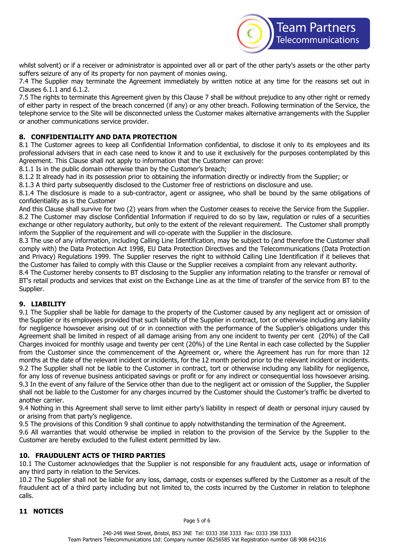

whilst solvent) or if a receiver or administrator is appointed over all or part of the other party's assets or the other party suffers seizure of any of its property for non payment of monies owing.

7.4 The Supplier may terminate the Agreement immediately by written notice at any time for the reasons set out in Clauses 6.1.1 and 6.1.2.

7.5 The rights to terminate this Agreement given by this Clause 7 shall be without prejudice to any other right or remedy of either party in respect of the breach concerned (if any) or any other breach. Following termination of the Service, the telephone service to the Site will be disconnected unless the Customer makes alternative arrangements with the Supplier or another communications service provider.

# **8. CONFIDENTIALITY AND DATA PROTECTION**

8.1 The Customer agrees to keep all Confidential Information confidential, to disclose it only to its employees and its professional advisers that in each case need to know it and to use it exclusively for the purposes contemplated by this Agreement. This Clause shall not apply to information that the Customer can prove:

8.1.1 Is in the public domain otherwise than by the Customer's breach;

8.1.2 It already had in its possession prior to obtaining the information directly or indirectly from the Supplier; or

8.1.3 A third party subsequently disclosed to the Customer free of restrictions on disclosure and use.

8.1.4 The disclosure is made to a sub-contractor, agent or assignee, who shall be bound by the same obligations of confidentiality as is the Customer

And this Clause shall survive for two (2) years from when the Customer ceases to receive the Service from the Supplier. 8.2 The Customer may disclose Confidential Information if required to do so by law, regulation or rules of a securities exchange or other regulatory authority, but only to the extent of the relevant requirement. The Customer shall promptly inform the Supplier of the requirement and will co-operate with the Supplier in the disclosure.

8.3 The use of any information, including Calling Line Identification, may be subject to (and therefore the Customer shall comply with) the Data Protection Act 1998, EU Data Protection Directives and the Telecommunications (Data Protection and Privacy) Regulations 1999. The Supplier reserves the right to withhold Calling Line Identification if it believes that the Customer has failed to comply with this Clause or the Supplier receives a complaint from any relevant authority.

8.4 The Customer hereby consents to BT disclosing to the Supplier any information relating to the transfer or removal of BT's retail products and services that exist on the Exchange Line as at the time of transfer of the service from BT to the Supplier.

### **9. LIABILITY**

9.1 The Supplier shall be liable for damage to the property of the Customer caused by any negligent act or omission of the Supplier or its employees provided that such liability of the Supplier in contract, tort or otherwise including any liability for negligence howsoever arising out of or in connection with the performance of the Supplier's obligations under this Agreement shall be limited in respect of all damage arising from any one incident to twenty per cent (20%) of the Call Charges invoiced for monthly usage and twenty per cent (20%) of the Line Rental in each case collected by the Supplier from the Customer since the commencement of the Agreement or, where the Agreement has run for more than 12 months at the date of the relevant incident or incidents, for the 12 month period prior to the relevant incident or incidents. 9.2 The Supplier shall not be liable to the Customer in contract, tort or otherwise including any liability for negligence, for any loss of revenue business anticipated savings or profit or for any indirect or consequential loss howsoever arising. 9.3 In the event of any failure of the Service other than due to the negligent act or omission of the Supplier, the Supplier shall not be liable to the Customer for any charges incurred by the Customer should the Customer's traffic be diverted to another carrier.

9.4 Nothing in this Agreement shall serve to limit either party's liability in respect of death or personal injury caused by or arising from that party's negligence.

9.5 The provisions of this Condition 9 shall continue to apply notwithstanding the termination of the Agreement.

9.6 All warranties that would otherwise be implied in relation to the provision of the Service by the Supplier to the Customer are hereby excluded to the fullest extent permitted by law.

### **10. FRAUDULENT ACTS OF THIRD PARTIES**

10.1 The Customer acknowledges that the Supplier is not responsible for any fraudulent acts, usage or information of any third party in relation to the Services.

10.2 The Supplier shall not be liable for any loss, damage, costs or expenses suffered by the Customer as a result of the fraudulent act of a third party including but not limited to, the costs incurred by the Customer in relation to telephone calls.

### **11 NOTICES**

Page 5 of 6